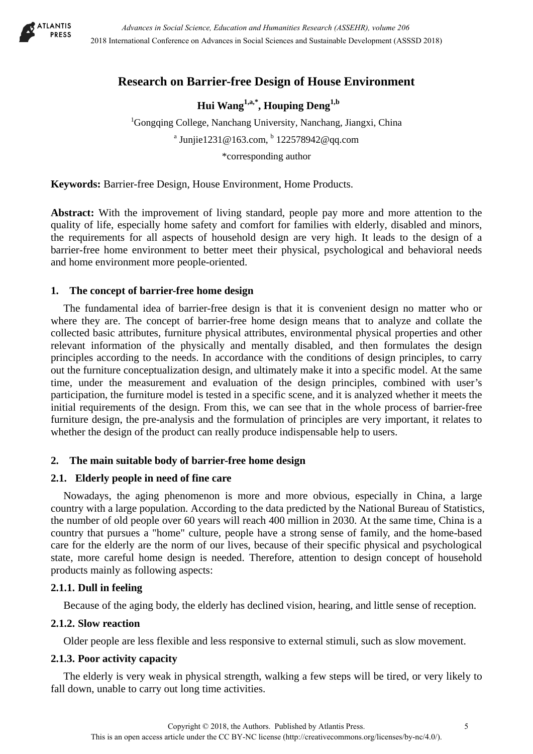

# **Research on Barrier-free Design of House Environment**

**Hui Wang1,a,\*, Houping Deng1,b** 

<sup>1</sup>Gongqing College, Nanchang University, Nanchang, Jiangxi, China <sup>a</sup> Junjie1231@163.com,  $^{b}$  122578942@qq.com \*corresponding author

**Keywords:** Barrier-free Design, House Environment, Home Products.

**Abstract:** With the improvement of living standard, people pay more and more attention to the quality of life, especially home safety and comfort for families with elderly, disabled and minors, the requirements for all aspects of household design are very high. It leads to the design of a barrier-free home environment to better meet their physical, psychological and behavioral needs and home environment more people-oriented.

### **1. The concept of barrier-free home design**

The fundamental idea of barrier-free design is that it is convenient design no matter who or where they are. The concept of barrier-free home design means that to analyze and collate the collected basic attributes, furniture physical attributes, environmental physical properties and other relevant information of the physically and mentally disabled, and then formulates the design principles according to the needs. In accordance with the conditions of design principles, to carry out the furniture conceptualization design, and ultimately make it into a specific model. At the same time, under the measurement and evaluation of the design principles, combined with user's participation, the furniture model is tested in a specific scene, and it is analyzed whether it meets the initial requirements of the design. From this, we can see that in the whole process of barrier-free furniture design, the pre-analysis and the formulation of principles are very important, it relates to whether the design of the product can really produce indispensable help to users.

## **2. The main suitable body of barrier-free home design**

## **2.1. Elderly people in need of fine care**

Nowadays, the aging phenomenon is more and more obvious, especially in China, a large country with a large population. According to the data predicted by the National Bureau of Statistics, the number of old people over 60 years will reach 400 million in 2030. At the same time, China is a country that pursues a "home" culture, people have a strong sense of family, and the home-based care for the elderly are the norm of our lives, because of their specific physical and psychological state, more careful home design is needed. Therefore, attention to design concept of household products mainly as following aspects:

## **2.1.1. Dull in feeling**

Because of the aging body, the elderly has declined vision, hearing, and little sense of reception.

## **2.1.2. Slow reaction**

Older people are less flexible and less responsive to external stimuli, such as slow movement.

### **2.1.3. Poor activity capacity**

The elderly is very weak in physical strength, walking a few steps will be tired, or very likely to fall down, unable to carry out long time activities.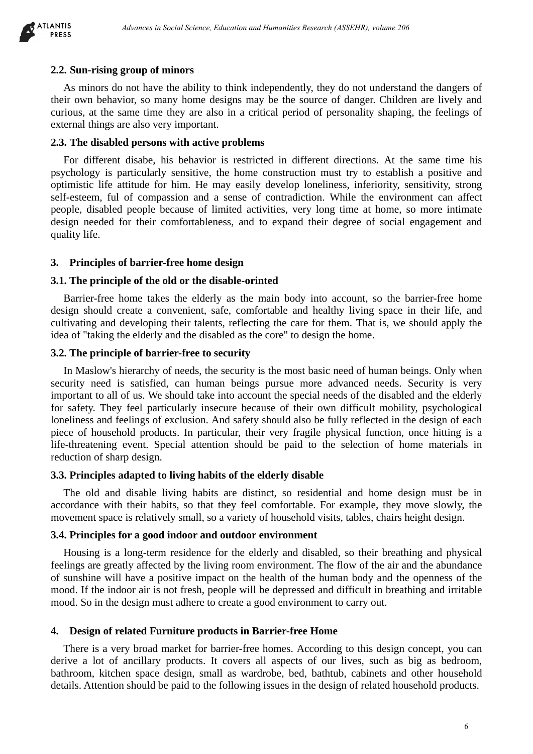

#### **2.2. Sun-rising group of minors**

As minors do not have the ability to think independently, they do not understand the dangers of their own behavior, so many home designs may be the source of danger. Children are lively and curious, at the same time they are also in a critical period of personality shaping, the feelings of external things are also very important.

#### **2.3. The disabled persons with active problems**

For different disabe, his behavior is restricted in different directions. At the same time his psychology is particularly sensitive, the home construction must try to establish a positive and optimistic life attitude for him. He may easily develop loneliness, inferiority, sensitivity, strong self-esteem, ful of compassion and a sense of contradiction. While the environment can affect people, disabled people because of limited activities, very long time at home, so more intimate design needed for their comfortableness, and to expand their degree of social engagement and quality life.

#### **3. Principles of barrier-free home design**

#### **3.1. The principle of the old or the disable-orinted**

Barrier-free home takes the elderly as the main body into account, so the barrier-free home design should create a convenient, safe, comfortable and healthy living space in their life, and cultivating and developing their talents, reflecting the care for them. That is, we should apply the idea of "taking the elderly and the disabled as the core" to design the home.

#### **3.2. The principle of barrier-free to security**

In Maslow's hierarchy of needs, the security is the most basic need of human beings. Only when security need is satisfied, can human beings pursue more advanced needs. Security is very important to all of us. We should take into account the special needs of the disabled and the elderly for safety. They feel particularly insecure because of their own difficult mobility, psychological loneliness and feelings of exclusion. And safety should also be fully reflected in the design of each piece of household products. In particular, their very fragile physical function, once hitting is a life-threatening event. Special attention should be paid to the selection of home materials in reduction of sharp design.

### **3.3. Principles adapted to living habits of the elderly disable**

The old and disable living habits are distinct, so residential and home design must be in accordance with their habits, so that they feel comfortable. For example, they move slowly, the movement space is relatively small, so a variety of household visits, tables, chairs height design.

#### **3.4. Principles for a good indoor and outdoor environment**

Housing is a long-term residence for the elderly and disabled, so their breathing and physical feelings are greatly affected by the living room environment. The flow of the air and the abundance of sunshine will have a positive impact on the health of the human body and the openness of the mood. If the indoor air is not fresh, people will be depressed and difficult in breathing and irritable mood. So in the design must adhere to create a good environment to carry out.

#### **4. Design of related Furniture products in Barrier-free Home**

There is a very broad market for barrier-free homes. According to this design concept, you can derive a lot of ancillary products. It covers all aspects of our lives, such as big as bedroom, bathroom, kitchen space design, small as wardrobe, bed, bathtub, cabinets and other household details. Attention should be paid to the following issues in the design of related household products.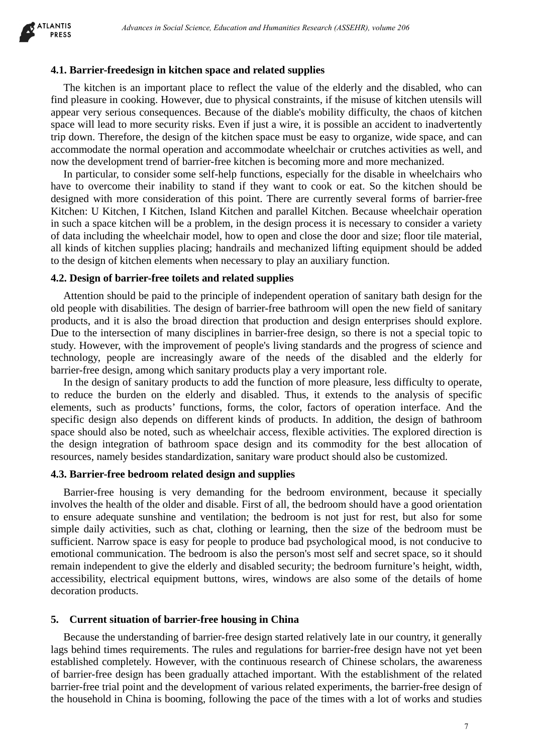

#### **4.1. Barrier-freedesign in kitchen space and related supplies**

The kitchen is an important place to reflect the value of the elderly and the disabled, who can find pleasure in cooking. However, due to physical constraints, if the misuse of kitchen utensils will appear very serious consequences. Because of the diable's mobility difficulty, the chaos of kitchen space will lead to more security risks. Even if just a wire, it is possible an accident to inadvertently trip down. Therefore, the design of the kitchen space must be easy to organize, wide space, and can accommodate the normal operation and accommodate wheelchair or crutches activities as well, and now the development trend of barrier-free kitchen is becoming more and more mechanized.

In particular, to consider some self-help functions, especially for the disable in wheelchairs who have to overcome their inability to stand if they want to cook or eat. So the kitchen should be designed with more consideration of this point. There are currently several forms of barrier-free Kitchen: U Kitchen, I Kitchen, Island Kitchen and parallel Kitchen. Because wheelchair operation in such a space kitchen will be a problem, in the design process it is necessary to consider a variety of data including the wheelchair model, how to open and close the door and size; floor tile material, all kinds of kitchen supplies placing; handrails and mechanized lifting equipment should be added to the design of kitchen elements when necessary to play an auxiliary function.

#### **4.2. Design of barrier-free toilets and related supplies**

Attention should be paid to the principle of independent operation of sanitary bath design for the old people with disabilities. The design of barrier-free bathroom will open the new field of sanitary products, and it is also the broad direction that production and design enterprises should explore. Due to the intersection of many disciplines in barrier-free design, so there is not a special topic to study. However, with the improvement of people's living standards and the progress of science and technology, people are increasingly aware of the needs of the disabled and the elderly for barrier-free design, among which sanitary products play a very important role.

In the design of sanitary products to add the function of more pleasure, less difficulty to operate, to reduce the burden on the elderly and disabled. Thus, it extends to the analysis of specific elements, such as products' functions, forms, the color, factors of operation interface. And the specific design also depends on different kinds of products. In addition, the design of bathroom space should also be noted, such as wheelchair access, flexible activities. The explored direction is the design integration of bathroom space design and its commodity for the best allocation of resources, namely besides standardization, sanitary ware product should also be customized.

#### **4.3. Barrier-free bedroom related design and supplies**

Barrier-free housing is very demanding for the bedroom environment, because it specially involves the health of the older and disable. First of all, the bedroom should have a good orientation to ensure adequate sunshine and ventilation; the bedroom is not just for rest, but also for some simple daily activities, such as chat, clothing or learning, then the size of the bedroom must be sufficient. Narrow space is easy for people to produce bad psychological mood, is not conducive to emotional communication. The bedroom is also the person's most self and secret space, so it should remain independent to give the elderly and disabled security; the bedroom furniture's height, width, accessibility, electrical equipment buttons, wires, windows are also some of the details of home decoration products.

#### **5. Current situation of barrier-free housing in China**

Because the understanding of barrier-free design started relatively late in our country, it generally lags behind times requirements. The rules and regulations for barrier-free design have not yet been established completely. However, with the continuous research of Chinese scholars, the awareness of barrier-free design has been gradually attached important. With the establishment of the related barrier-free trial point and the development of various related experiments, the barrier-free design of the household in China is booming, following the pace of the times with a lot of works and studies